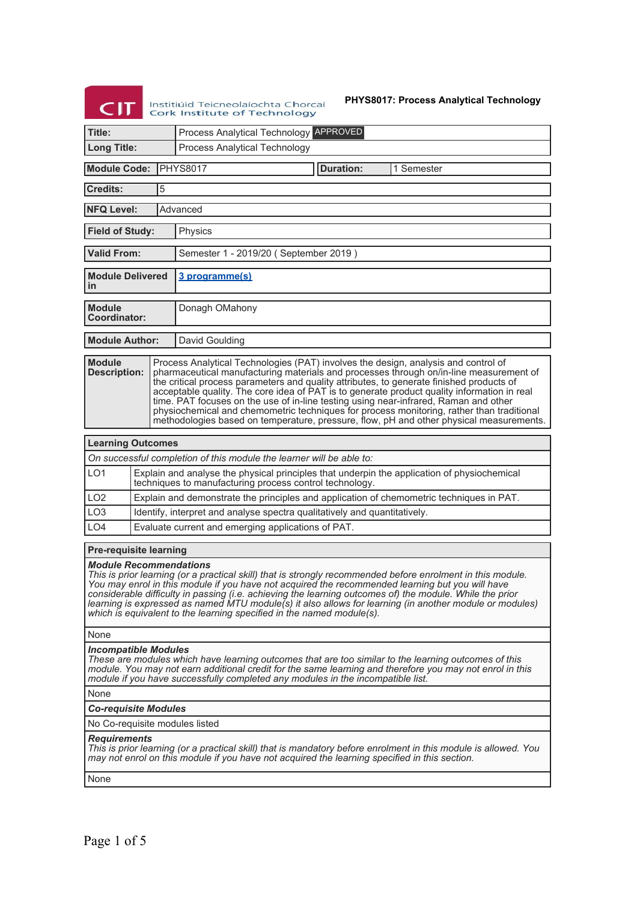# **CIT** Institiúid Teicneolaíochta Chorcaí<br>Cork Institute of Technology

# **PHYS8017: Process Analytical Technology**

| Title:                                                                                                                                                                                                                                                                                                                                                                                                                                                                                                                                           |  |                                                                                          | Process Analytical Technology APPROVED                                                                                                                                                                                                                                                                                                                                                                                                                                                                                                                                                                                                                  |  |  |  |  |
|--------------------------------------------------------------------------------------------------------------------------------------------------------------------------------------------------------------------------------------------------------------------------------------------------------------------------------------------------------------------------------------------------------------------------------------------------------------------------------------------------------------------------------------------------|--|------------------------------------------------------------------------------------------|---------------------------------------------------------------------------------------------------------------------------------------------------------------------------------------------------------------------------------------------------------------------------------------------------------------------------------------------------------------------------------------------------------------------------------------------------------------------------------------------------------------------------------------------------------------------------------------------------------------------------------------------------------|--|--|--|--|
| <b>Long Title:</b>                                                                                                                                                                                                                                                                                                                                                                                                                                                                                                                               |  |                                                                                          | Process Analytical Technology                                                                                                                                                                                                                                                                                                                                                                                                                                                                                                                                                                                                                           |  |  |  |  |
| <b>Module Code:</b><br>IPHYS8017<br><b>Duration:</b><br>1 Semester                                                                                                                                                                                                                                                                                                                                                                                                                                                                               |  |                                                                                          |                                                                                                                                                                                                                                                                                                                                                                                                                                                                                                                                                                                                                                                         |  |  |  |  |
| <b>Credits:</b>                                                                                                                                                                                                                                                                                                                                                                                                                                                                                                                                  |  | 5                                                                                        |                                                                                                                                                                                                                                                                                                                                                                                                                                                                                                                                                                                                                                                         |  |  |  |  |
| <b>NFQ Level:</b>                                                                                                                                                                                                                                                                                                                                                                                                                                                                                                                                |  |                                                                                          | Advanced                                                                                                                                                                                                                                                                                                                                                                                                                                                                                                                                                                                                                                                |  |  |  |  |
| <b>Field of Study:</b>                                                                                                                                                                                                                                                                                                                                                                                                                                                                                                                           |  |                                                                                          | Physics                                                                                                                                                                                                                                                                                                                                                                                                                                                                                                                                                                                                                                                 |  |  |  |  |
| <b>Valid From:</b>                                                                                                                                                                                                                                                                                                                                                                                                                                                                                                                               |  |                                                                                          | Semester 1 - 2019/20 (September 2019)                                                                                                                                                                                                                                                                                                                                                                                                                                                                                                                                                                                                                   |  |  |  |  |
| <b>Module Delivered</b><br>in                                                                                                                                                                                                                                                                                                                                                                                                                                                                                                                    |  |                                                                                          | 3 programme(s)                                                                                                                                                                                                                                                                                                                                                                                                                                                                                                                                                                                                                                          |  |  |  |  |
| <b>Module</b><br>Coordinator:                                                                                                                                                                                                                                                                                                                                                                                                                                                                                                                    |  |                                                                                          | Donagh OMahony                                                                                                                                                                                                                                                                                                                                                                                                                                                                                                                                                                                                                                          |  |  |  |  |
| <b>Module Author:</b>                                                                                                                                                                                                                                                                                                                                                                                                                                                                                                                            |  |                                                                                          | David Goulding                                                                                                                                                                                                                                                                                                                                                                                                                                                                                                                                                                                                                                          |  |  |  |  |
| <b>Module</b><br><b>Description:</b>                                                                                                                                                                                                                                                                                                                                                                                                                                                                                                             |  |                                                                                          | Process Analytical Technologies (PAT) involves the design, analysis and control of<br>pharmaceutical manufacturing materials and processes through on/in-line measurement of<br>the critical process parameters and quality attributes, to generate finished products of<br>acceptable quality. The core idea of PAT is to generate product quality information in real<br>time. PAT focuses on the use of in-line testing using near-infrared, Raman and other<br>physiochemical and chemometric techniques for process monitoring, rather than traditional<br>methodologies based on temperature, pressure, flow, pH and other physical measurements. |  |  |  |  |
| <b>Learning Outcomes</b>                                                                                                                                                                                                                                                                                                                                                                                                                                                                                                                         |  |                                                                                          |                                                                                                                                                                                                                                                                                                                                                                                                                                                                                                                                                                                                                                                         |  |  |  |  |
|                                                                                                                                                                                                                                                                                                                                                                                                                                                                                                                                                  |  |                                                                                          | On successful completion of this module the learner will be able to:                                                                                                                                                                                                                                                                                                                                                                                                                                                                                                                                                                                    |  |  |  |  |
| LO <sub>1</sub>                                                                                                                                                                                                                                                                                                                                                                                                                                                                                                                                  |  |                                                                                          | Explain and analyse the physical principles that underpin the application of physiochemical<br>techniques to manufacturing process control technology.                                                                                                                                                                                                                                                                                                                                                                                                                                                                                                  |  |  |  |  |
| LO <sub>2</sub>                                                                                                                                                                                                                                                                                                                                                                                                                                                                                                                                  |  | Explain and demonstrate the principles and application of chemometric techniques in PAT. |                                                                                                                                                                                                                                                                                                                                                                                                                                                                                                                                                                                                                                                         |  |  |  |  |
| LO <sub>3</sub>                                                                                                                                                                                                                                                                                                                                                                                                                                                                                                                                  |  |                                                                                          | Identify, interpret and analyse spectra qualitatively and quantitatively.                                                                                                                                                                                                                                                                                                                                                                                                                                                                                                                                                                               |  |  |  |  |
| LO <sub>4</sub>                                                                                                                                                                                                                                                                                                                                                                                                                                                                                                                                  |  |                                                                                          | Evaluate current and emerging applications of PAT.                                                                                                                                                                                                                                                                                                                                                                                                                                                                                                                                                                                                      |  |  |  |  |
| <b>Pre-requisite learning</b>                                                                                                                                                                                                                                                                                                                                                                                                                                                                                                                    |  |                                                                                          |                                                                                                                                                                                                                                                                                                                                                                                                                                                                                                                                                                                                                                                         |  |  |  |  |
| <b>Module Recommendations</b><br>This is prior learning (or a practical skill) that is strongly recommended before enrolment in this module.<br>You may enrol in this module if you have not acquired the recommended learning but you will have<br>considerable difficulty in passing (i.e. achieving the learning outcomes of) the module. While the prior<br>learning is expressed as named MTU module(s) it also allows for learning (in another module or modules)<br>which is equivalent to the learning specified in the named module(s). |  |                                                                                          |                                                                                                                                                                                                                                                                                                                                                                                                                                                                                                                                                                                                                                                         |  |  |  |  |
| None                                                                                                                                                                                                                                                                                                                                                                                                                                                                                                                                             |  |                                                                                          |                                                                                                                                                                                                                                                                                                                                                                                                                                                                                                                                                                                                                                                         |  |  |  |  |
| <b>Incompatible Modules</b><br>These are modules which have learning outcomes that are too similar to the learning outcomes of this<br>module. You may not earn additional credit for the same learning and therefore you may not enrol in this<br>module if you have successfully completed any modules in the incompatible list.                                                                                                                                                                                                               |  |                                                                                          |                                                                                                                                                                                                                                                                                                                                                                                                                                                                                                                                                                                                                                                         |  |  |  |  |
| None                                                                                                                                                                                                                                                                                                                                                                                                                                                                                                                                             |  |                                                                                          |                                                                                                                                                                                                                                                                                                                                                                                                                                                                                                                                                                                                                                                         |  |  |  |  |
| <b>Co-requisite Modules</b>                                                                                                                                                                                                                                                                                                                                                                                                                                                                                                                      |  |                                                                                          |                                                                                                                                                                                                                                                                                                                                                                                                                                                                                                                                                                                                                                                         |  |  |  |  |
| No Co-requisite modules listed                                                                                                                                                                                                                                                                                                                                                                                                                                                                                                                   |  |                                                                                          |                                                                                                                                                                                                                                                                                                                                                                                                                                                                                                                                                                                                                                                         |  |  |  |  |
| <b>Requirements</b><br>This is prior learning (or a practical skill) that is mandatory before enrolment in this module is allowed. You<br>may not enrol on this module if you have not acquired the learning specified in this section.                                                                                                                                                                                                                                                                                                          |  |                                                                                          |                                                                                                                                                                                                                                                                                                                                                                                                                                                                                                                                                                                                                                                         |  |  |  |  |
| None                                                                                                                                                                                                                                                                                                                                                                                                                                                                                                                                             |  |                                                                                          |                                                                                                                                                                                                                                                                                                                                                                                                                                                                                                                                                                                                                                                         |  |  |  |  |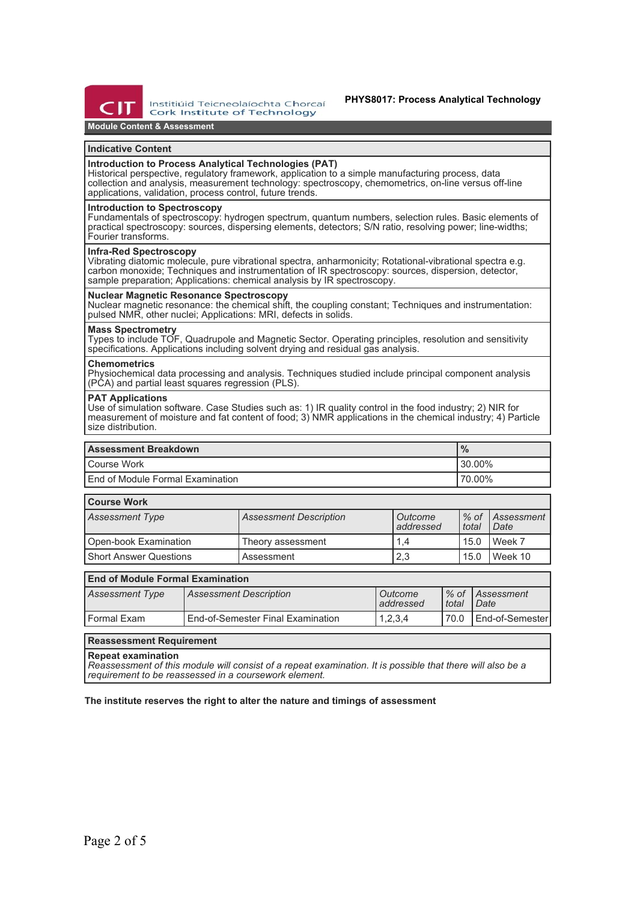

Institiúid Teicneolaíochta Chorcaí Cork Institute of Technology

**Module Content & Assessment**

#### **Indicative Content**

### **Introduction to Process Analytical Technologies (PAT)**

Historical perspective, regulatory framework, application to a simple manufacturing process, data collection and analysis, measurement technology: spectroscopy, chemometrics, on-line versus off-line applications, validation, process control, future trends.

#### **Introduction to Spectroscopy**

Fundamentals of spectroscopy: hydrogen spectrum, quantum numbers, selection rules. Basic elements of practical spectroscopy: sources, dispersing elements, detectors; S/N ratio, resolving power; line-widths; Fourier transforms.

#### **Infra-Red Spectroscopy**

Vibrating diatomic molecule, pure vibrational spectra, anharmonicity; Rotational-vibrational spectra e.g. carbon monoxide; Techniques and instrumentation of IR spectroscopy: sources, dispersion, detector, sample preparation; Applications: chemical analysis by IR spectroscopy.

### **Nuclear Magnetic Resonance Spectroscopy**

Nuclear magnetic resonance: the chemical shift, the coupling constant; Techniques and instrumentation: pulsed NMR, other nuclei; Applications: MRI, defects in solids.

#### **Mass Spectrometry**

Types to include TOF, Quadrupole and Magnetic Sector. Operating principles, resolution and sensitivity specifications. Applications including solvent drying and residual gas analysis.

#### **Chemometrics**

Physiochemical data processing and analysis. Techniques studied include principal component analysis (PCA) and partial least squares regression (PLS).

#### **PAT Applications**

Use of simulation software. Case Studies such as: 1) IR quality control in the food industry; 2) NIR for measurement of moisture and fat content of food; 3) NMR applications in the chemical industry; 4) Particle size distribution.

| <b>Assessment Breakdown</b>        | $\frac{9}{6}$ |  |
|------------------------------------|---------------|--|
| l Course Work                      | $130.00\%$    |  |
| l End of Module Formal Examination | ' 70.00%      |  |

## **Course Work**

| <b>Assessment Type</b>   | <b>Assessment Description</b> | Outcome<br>addressed | total | 1% of Assessment<br>Date |  |  |
|--------------------------|-------------------------------|----------------------|-------|--------------------------|--|--|
| Open-book Examination    | Theory assessment             | 1.4                  | 15.0  | Week 7                   |  |  |
| l Short Answer Questions | Assessment                    | 2,3                  | 15.0  | Week 10                  |  |  |

### **End of Module Formal Examination**

| Assessment Type | <b>Assessment Description</b>     | Outcome<br>addressed | total | Ⅰ% of <i>Assessment</i><br>Date |
|-----------------|-----------------------------------|----------------------|-------|---------------------------------|
| l Formal Exam   | End-of-Semester Final Examination | 1,2,3,4              | 70.0  | LEnd-of-Semester                |

## **Reassessment Requirement**

**Repeat examination**

*Reassessment of this module will consist of a repeat examination. It is possible that there will also be a requirement to be reassessed in a coursework element.*

**The institute reserves the right to alter the nature and timings of assessment**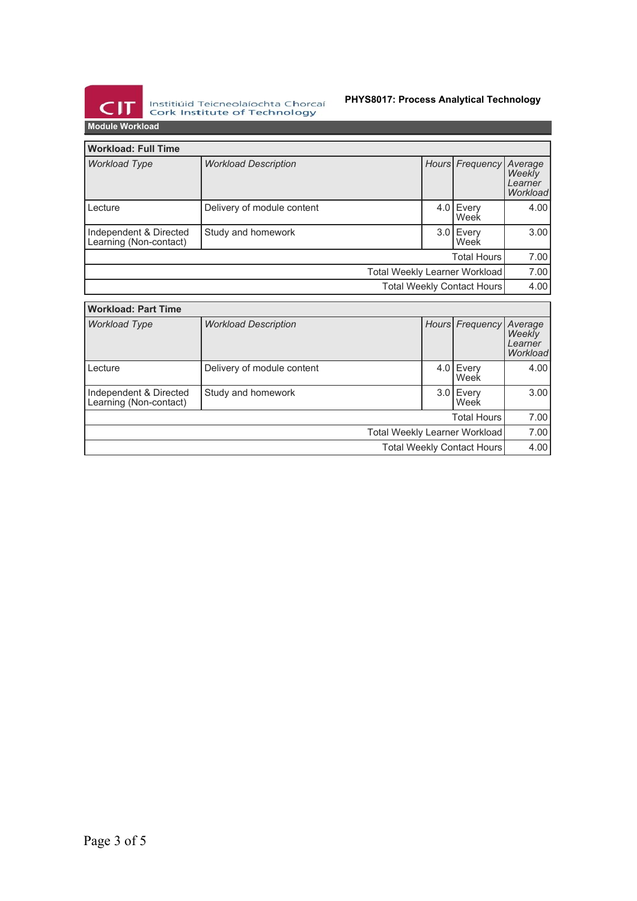

Institiúid Teicneolaíochta Chorcaí<br>Cork Institute of Technology

# **PHYS8017: Process Analytical Technology**

**Module Workload**

| <b>Workload: Full Time</b>                       |                             |                                      |                    |                    |                                          |
|--------------------------------------------------|-----------------------------|--------------------------------------|--------------------|--------------------|------------------------------------------|
| <b>Workload Type</b>                             | <b>Workload Description</b> |                                      | Hours <sup> </sup> | Frequency          | Average<br>Weekly<br>Learner<br>Workload |
| Lecture                                          | Delivery of module content  |                                      | 4.0 <sub>1</sub>   | Every<br>Week      | 4.00                                     |
| Independent & Directed<br>Learning (Non-contact) | Study and homework          |                                      |                    | 3.0 Every<br>Week  | 3.00                                     |
| <b>Total Hours</b>                               |                             |                                      | 7.00               |                    |                                          |
| Total Weekly Learner Workload                    |                             |                                      |                    |                    | 7.00                                     |
| Total Weekly Contact Hours                       |                             |                                      |                    | 4.00               |                                          |
| <b>Workload: Part Time</b>                       |                             |                                      |                    |                    |                                          |
| <b>Workload Type</b>                             | <b>Workload Description</b> |                                      | Hours <sup> </sup> | Frequency          | Average                                  |
|                                                  |                             |                                      |                    |                    | Weekly<br>Learner<br>Workload            |
| Lecture                                          | Delivery of module content  |                                      | 4.0                | Every<br>Week      | 4.00                                     |
| Independent & Directed<br>Learning (Non-contact) | Study and homework          |                                      | 3.01               | Every<br>Week      | 3.00                                     |
|                                                  |                             |                                      |                    | <b>Total Hours</b> | 7.00                                     |
|                                                  |                             | <b>Total Weekly Learner Workload</b> |                    |                    | 7.00                                     |
| Total Weekly Contact Hours                       |                             |                                      |                    |                    | 4.00                                     |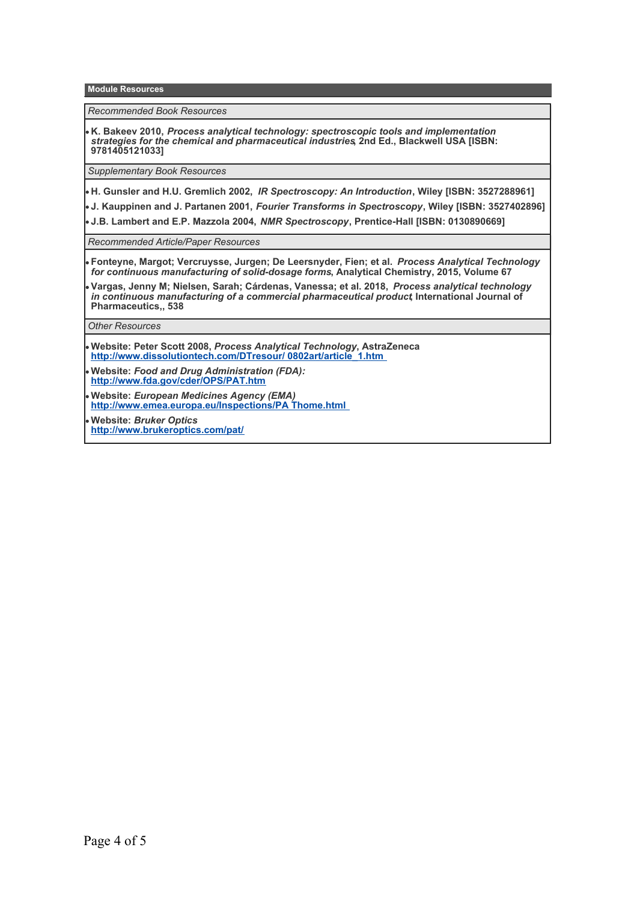**Module Resources**

*Recommended Book Resources*

**K. Bakeev 2010,** *Process analytical technology: spectroscopic tools and implementation strategies for the chemical and pharmaceutical industries***, 2nd Ed., Blackwell USA [ISBN: 9781405121033]**

*Supplementary Book Resources*

**H. Gunsler and H.U. Gremlich 2002,** *IR Spectroscopy: An Introduction***, Wiley [ISBN: 3527288961]**

**J. Kauppinen and J. Partanen 2001,** *Fourier Transforms in Spectroscopy***, Wiley [ISBN: 3527402896]**

**J.B. Lambert and E.P. Mazzola 2004,** *NMR Spectroscopy***, Prentice-Hall [ISBN: 0130890669]**

*Recommended Article/Paper Resources*

**Fonteyne, Margot; Vercruysse, Jurgen; De Leersnyder, Fien; et al.** *Process Analytical Technology for continuous manufacturing of solid-dosage forms***, Analytical Chemistry, 2015, Volume 67**

**Vargas, Jenny M; Nielsen, Sarah; Cárdenas, Vanessa; et al. 2018,** *Process analytical technology in continuous manufacturing of a commercial pharmaceutical product***, International Journal of Pharmaceutics,, 538**

*Other Resources*

**Website: Peter Scott 2008,** *Process Analytical Technology***, AstraZeneca [http://www.dissolutiontech.com/DTresour/ 0802art/article\\_1.htm](http://www.dissolutiontech.com/DTresour/0802art/article_1.htm)** 

**Website:** *Food and Drug Administration (FDA):* **<http://www.fda.gov/cder/OPS/PAT.htm>**

**Website:** *European Medicines Agency (EMA)* **[http://www.emea.europa.eu/Inspections/PA Thome.html](http://www.emea.europa.eu/Inspections/PAThome.html)** 

**Website:** *Bruker Optics* **<http://www.brukeroptics.com/pat/>**